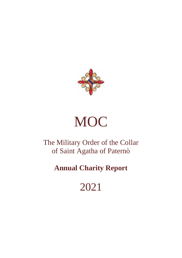

# MOC

## The Military Order of the Collar of Saint Agatha of Paternò

## **Annual Charity Report**

## 2021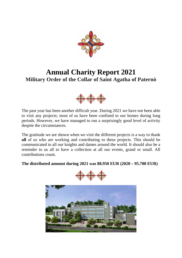

### **Annual Charity Report 2021 Military Order of the Collar of Saint Agatha of Paternò**



The past year has been another difficult year. During 2021 we have not been able to visit any projects; most of us have been confined to our homes during long periods. However, we have managed to run a surprisingly good level of activity despite the circumstances.

The gratitude we are shown when we visit the different projects is a way to thank **all** of us who are working and contributing to these projects. This should be communicated to all our knights and dames around the world. It should also be a reminder to us all to have a collection at all our events, grand or small. All contributions count.

#### **The distributed amount during 2021 was 88.950 EUR (2020 – 95.700 EUR)**



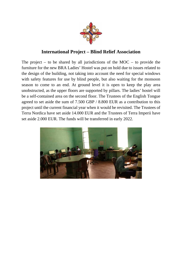

#### **International Project – Blind Relief Association**

The project – to be shared by all jurisdictions of the  $MOC$  – to provide the furniture for the new BRA Ladies' Hostel was put on hold due to issues related to the design of the building, not taking into account the need for special windows with safety features for use by blind people, but also waiting for the monsoon season to come to an end. At ground level it is open to keep the play area unobstructed, as the upper floors are supported by pillars. The ladies' hostel will be a self-contained area on the second floor. The Trustees of the English Tongue agreed to set aside the sum of 7.500 GBP / 8.800 EUR as a contribution to this project until the current financial year when it would be revisited. The Trustees of Terra Nordica have set aside 14.000 EUR and the Trustees of Terra Imperii have set aside 2.000 EUR. The funds will be transferred in early 2022.

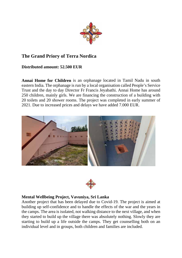

#### **The Grand Priory of Terra Nordica**

#### **Distributed amount: 52.500 EUR**

**Annai Home for Children** is an orphanage located in Tamil Nadu in south eastern India. The orphanage is run by a local organisation called People's Service Trust and the day to day Director Fr Francis Jeyabathi. Annai Home has around 250 children, mainly girls. We are financing the construction of a building with 20 toilets and 20 shower rooms. The project was completed in early summer of 2021. Due to increased prices and delays we have added 7.000 EUR.





#### **Mental Wellbeing Project, Vavuniya, Sri Lanka**

Another project that has been delayed due to Covid-19. The project is aimed at building up self-confidence and to handle the effects of the war and the years in the camps. The area is isolated, not walking distance to the next village, and when they started to build up the village there was absolutely nothing. Slowly they are starting to build up a life outside the camps. They get counselling both on an individual level and in groups, both children and families are included.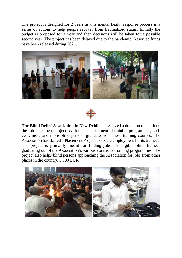The project is designed for 2 years as this mental health response process is a series of actions to help people recover from traumatized status. Initially the budget is proposed for a year and then decisions will be taken for a possible second year. The project has been delayed due to the pandemic. Reserved funds have been released during 2021.





**The Blind Relief Association in New Dehli** has received a donation to continue the Job Placement project. With the establishment of training programmes, each year, more and more blind persons graduate from these training courses. The Association has started a Placement Project to secure employment for its trainees. The project is primarily meant for finding jobs for eligible blind trainees graduating out of the Association's various vocational training programmes. The project also helps blind persons approaching the Association for jobs from other places in the country. 3.000 EUR.

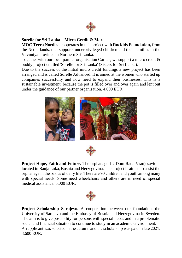

#### **Sorelle for Sri Lanka – Micro Credit & More**

**MOC Terra Nordica** cooperates in this project with **Rockids Foundation,** from the Netherlands, that supports underprivileged children and their families in the Vavuniya province in Northern Sri Lanka.

Together with our local partner organisation Caritas, we support a micro credit & buddy project entitled 'Sorelle for Sri Lanka' (Sisters for Sri Lanka).

Due to the success of the initial micro credit fundings a new project has been arranged and is called Sorelle Advanced. It is aimed at the women who started up companies successfully and now need to expand their businesses. This is a sustainable investment, because the pot is filled over and over again and lent out under the guidance of our partner organisation. 4.000 EUR





**Project Hope, Faith and Future.** The orphanage JU Dom Rada Vranjesavic is located in Banja Luka, Bosnia and Herzegovina. The project is aimed to assist the orphanage in the basics of daily life. There are 90 children and youth among many with special needs. Some need wheelchairs and others are in need of special medical assistance. 5.000 EUR.



**Project Scholarship Sarajevo.** A cooperation between our foundation, the University of Sarajevo and the Embassy of Bosnia and Herzegovina in Sweden. The aim is to give possibility for persons with special needs and in a problematic social and financial situation to continue to study in an academic environment. An applicant was selected in the autumn and the scholarship was paid in late 2021. 3.600 EUR.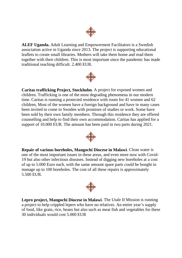

**ALEF Uganda.** Adult Learning and Empowerment Facilitators is a Swedish association active in Uganda since 2013. The project is supporting educational leaflets to create small libraries. Mothers will take them home and read them together with their children. This is most important since the pandemic has made traditional teaching difficult. 2.400 EUR.



**Caritas trafficking Project, Stockholm**. A project for exposed women and children. Trafficking is one of the most degrading phenomena in our modern time. Caritas is running a protected residence with room for 41 women and 62 children, Most of the women have a foreign background and have in many cases been invited to come to Sweden with promises of studies or work. Some have been sold by their own family members. Through this residence they are offered counselling and help to find their own accommodation. Caritas has applied for a support of 10.000 EUR. The amount has been paid in two parts during 2021.



**Repair of various boreholes, Mangochi Diocese in Malawi**. Clean water is one of the most important issues in these areas, and even more now with Covid-19 but also other infectious diseases. Instead of digging new boreholes at a cost of up to 5.000 Euro each, with the same amount spare parts could be bought to manage up to 100 boreholes. The cost of all these repairs is approximately 5.500 EUR.



**Lepro project, Mangochi Diocese in Malawi**. The Utale II Mission is running a project to help crippled lepers who have no relatives. An entire year's supply of food, like grain, rice, beans but also such as meat fish and vegetables for these 30 individuals would cost 5.000 EUR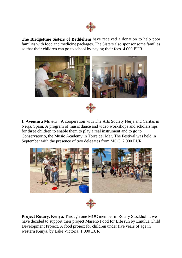

**The Bridgettine Sisters of Bethlehem** have received a donation to help poor families with food and medicine packages. The Sisters also sponsor some families so that their children can go to school by paying their fees. 4.000 EUR.





**L'Aventura Musical**. A cooperation with The Arts Society Nerja and Caritas in Nerja, Spain. A program of music dance and video workshops and scholarships for three children to enable them to play a real instrument and to go to Conservatorio, the Music Academy in Torre del Mar. The Festival was held in September with the presence of two delegates from MOC. 2.000 EUR





**Project Rotary, Kenya.** Through one MOC member in Rotary Stockholm, we have decided to support their project Maseno Food for Life run by Emulua Child Development Project. A food project for children under five years of age in western Kenya, by Lake Victoria. 1.000 EUR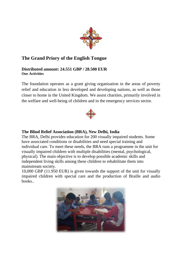

#### **The Grand Priory of the English Tongue**

#### **Distributed amount: 24.551 GBP / 28.500 EUR Our Activities**

The foundation operates as a grant giving organisation in the areas of poverty relief and education in less developed and developing nations, as well as those closer to home in the United Kingdom. We assist charities, primarily involved in the welfare and well-being of children and in the emergency services sector.



#### **The Blind Relief Association (BRA), New Delhi, India**

The BRA, Delhi provides education for 200 visually impaired students. Some have associated conditions or disabilities and need special training and individual care. To meet these needs, the BRA runs a programme in the unit for visually impaired children with multiple disabilities (mental, psychological, physical). The main objective is to develop possible academic skills and independent living skills among these children to rehabilitate them into mainstream society.

10,000 GBP (11.950 EUR) is given towards the support of the unit for visually impaired children with special care and the production of Braille and audio books..

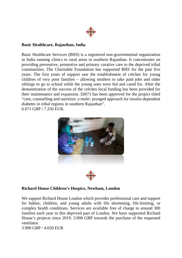

#### **Basic Healthcare, Rajasthan, India**

Basic Healthcare Services (BHS) is a registered non-governmental organization in India running clinics in rural areas in southern Rajasthan. It concentrates on providing preventive, promotive and primary curative care to the deprived tribal communities. The Charitable Foundation has supported BHS for the past five years. The first years of support saw the establishment of crèches for young children of very poor families – allowing mothers to take paid jobs and older siblings to go to school while the young ones were fed and cared for. After the demonstration of the success of the crèches local funding has been provided for their maintenance and expansion. £6071 has been approved for the project titled "care, counselling and nutrition: a multi- pronged approach for insulin-dependent diabetes in tribal regions in southern Rajasthan". 6.071 GBP / 7.250 EUR.





#### **Richard House Children's Hospice, Newham, London**

We support Richard House London which provides professional care and support for babies, children, and young adults with life shortening, life-limiting, or complex health conditions. Services are available free of charge to around 300 families each year in this deprived part of London. We have supported Richard House's projects since 2019. 3.900 GBP towards the purchase of the requested ventilator.

3.900 GBP / 4.650 EUR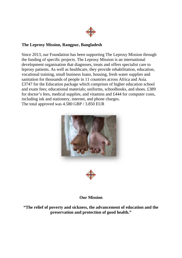

#### **The Leprosy Mission, Rangpur, Bangladesh**

Since 2013, our Foundation has been supporting The Leprosy Mission through the funding of specific projects. The Leprosy Mission is an international development organisation that diagnoses, treats and offers specialist care to leprosy patients. As well as healthcare, they provide rehabilitation, education, vocational training, small business loans, housing, fresh water supplies and sanitation for thousands of people in 11 countries across Africa and Asia. £3747 for the Education package which comprises of higher education school and exam fees; educational materials; uniforms, schoolbooks, and shoes. £389 for doctor's fees, medical supplies, and vitamins and £444 for computer costs, including ink and stationery, internet, and phone charges. The total approved was 4.580 GBP / 3.850 EUR





**Our Mission**

**"The relief of poverty and sickness, the advancement of education and the preservation and protection of good health."**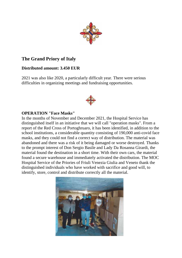

#### **The Grand Priory of Italy**

#### **Distributed amount: 3.450 EUR**

2021 was also like 2020, a particularly difficult year. There were serious difficulties in organizing meetings and fundraising opportunities.



#### **OPERATION "Face Masks"**

In the months of November and December 2021, the Hospital Service has distinguished itself in an initiative that we will call "operation masks". From a report of the Red Cross of Portoghruaro, it has been identified, in addition to the school institutions, a considerable quantity consisting of 190,000 anti-covid face masks, and they could not find a correct way of distribution. The material was abandoned and there was a risk of it being damaged or worse destroyed. Thanks to the prompt interest of Don Sergio Basile and Lady Da Rosanna Girardi, the material found the destination in a short time. With their own cars, the material found a secure warehouse and immediately activated the distribution. The MOC Hospital Service of the Priories of Friuli Venezia Giulia and Veneto thank the distinguished individuals who have worked with sacrifice and good will, to identify, store, control and distribute correctly all the material.

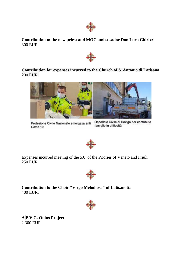

**Contribution to the new priest and MOC ambassador Don Luca Chirizzi.** 300 EUR



**Contribution for expenses incurred to the Church of S. Antonio di Latisana** 200 EUR.





Protezione Civile Nazionale emergeza anti Covid 19

Ospedale Civile di Rovigo per contributo famiglie in difficoltà



Expenses incurred meeting of the 5.0. of the Priories of Veneto and Friuli 250 EUR.



**Contribution to the Choir "Virgo Melodiosa" of Latisanotta** 400 EUR.



**A F.V.G. Onlus Project** 2.300 EUR.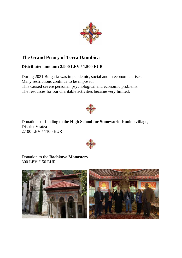

#### **The Grand Priory of Terra Danubica**

#### **Distributed amount: 2.900 LEV / 1.500 EUR**

During 2021 Bulgaria was in pandemic, social and in economic crises. Many restrictions continue to be imposed. This caused severe personal, psychological and economic problems.

The resources for our charitable activities became very limited.



Donations of funding to the **High School for Stonework**, Kunino village, District Vratza 2.100 LEV / 1100 EUR



Donation to the **Bachkovo Monastery** 300 LEV /150 EUR

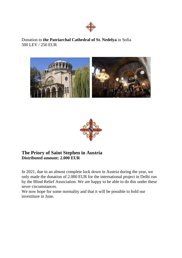

Donation to **the Patriarchal Cathedral of St. Nedelya** in Sofia 500 LEV / 250 EUR





#### **The Priory of Saint Stephen in Austria Distributed amount: 2.000 EUR**

In 2021, due to an almost complete lock down in Austria during the year, we only made the donation of 2.000 EUR for the international project in Delhi run by the Blind Relief Association. We are happy to be able to do this under these sever circumstances.

We now hope for some normality and that it will be possible to hold our investiture in June.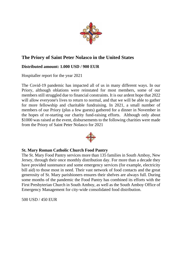

#### **The Priory of Saint Peter Nolasco in the United States**

#### **Distributed amount: 1.000 USD / 900 EUR**

Hospitaller report for the year 2021

The Covid-19 pandemic has impacted all of us in many different ways. In our Priory, although oblations were reinstated for most members, some of our members still struggled due to financial constraints. It is our ardent hope that 2022 will allow everyone's lives to return to normal, and that we will be able to gather for more fellowship and charitable fundraising. In 2021, a small number of members of our Priory (plus a few guests) gathered for a dinner in November in the hopes of re-starting our charity fund-raising efforts. Although only about \$1000 was raised at the event, disbursements to the following charities were made from the Priory of Saint Peter Nolasco for 2021



#### **St. Mary Roman Catholic Church Food Pantry**

The St. Mary Food Pantry services more than 135 families in South Amboy, New Jersey, through their once monthly distribution day. For more than a decade they have provided sustenance and some emergency services (for example, electricity bill aid) to those most in need. Their vast network of food contacts and the great generosity of St. Mary parishioners ensures their shelves are always full. During some months of the pandemic the Food Pantry has combined its efforts with the First Presbyterian Church in South Amboy, as well as the South Amboy Office of Emergency Management for city-wide consolidated food distribution.

500 USD / 450 EUR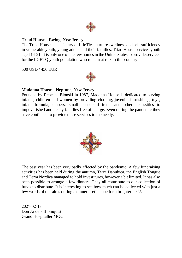

#### **Triad House – Ewing, New Jersey**

The Triad House, a subsidiary of LifeTies, nurtures wellness and self-sufficiency in vulnerable youth, young adults and their families. Triad House services youth aged 14-21. It is only one of the few homes in the United States to provide services for the LGBTQ youth population who remain at risk in this country

500 USD / 450 EUR



#### **Madonna House – Neptune, New Jersey**

Founded by Rebecca Blonski in 1987, Madonna House is dedicated to serving infants, children and women by providing clothing, juvenile furnishings, toys, infant formula, diapers, small household items and other necessities to impoverished and needy families free of charge. Even during the pandemic they have continued to provide these services to the needy.



The past year has been very badly affected by the pandemic. A few fundraising activities has been held during the autumn, Terra Danubica, the English Tongue and Terra Nordica managed to hold investitures, however a bit limited. It has also been possible to arrange a few dinners. They all contribute to our collection of funds to distribute. It is interesting to see how much can be collected with just a few words of our aims during a dinner. Let's hope for a brighter 2022.

2021-02-17. Don Anders Blomqvist Grand Hospitaller MOC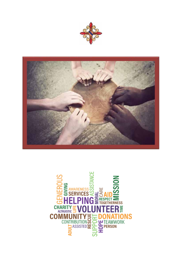